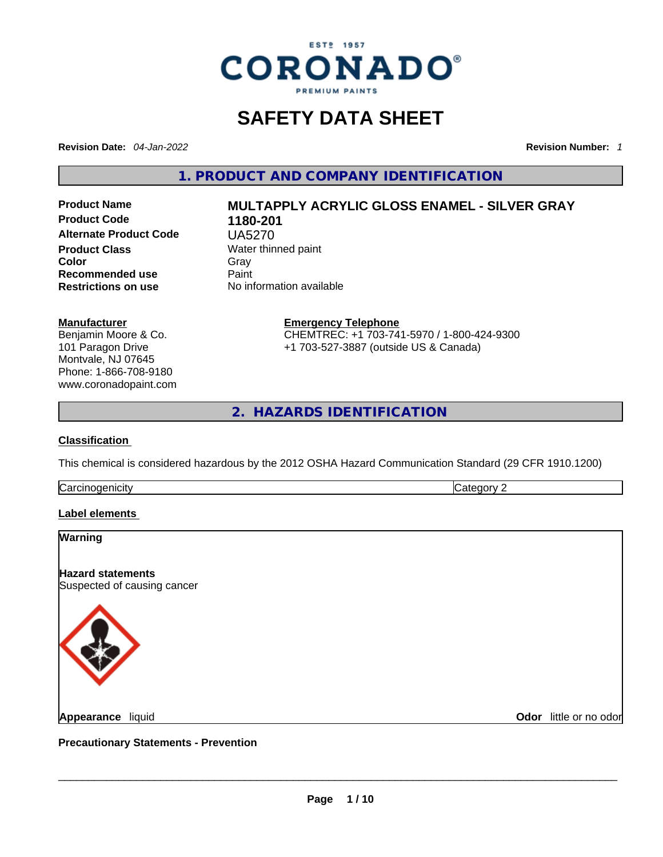

### **SAFETY DATA SHEET**

**Revision Date:** *04-Jan-2022* **Revision Number:** *1*

**1. PRODUCT AND COMPANY IDENTIFICATION** 

**Product Code 1180-201 Alternate Product Code** UA5270 **Product Class Water thinned paint**<br> **Color** Gray **Color** Gray Gray **Recommended use** Paint<br> **Restrictions on use** No inf

# **Product Name MULTAPPLY ACRYLIC GLOSS ENAMEL - SILVER GRAY**

**Manufacturer**

Benjamin Moore & Co. 101 Paragon Drive Montvale, NJ 07645 Phone: 1-866-708-9180 www.coronadopaint.com **No information available Emergency Telephone**

CHEMTREC: +1 703-741-5970 / 1-800-424-9300 +1 703-527-3887 (outside US & Canada)

**2. HAZARDS IDENTIFICATION** 

#### **Classification**

This chemical is considered hazardous by the 2012 OSHA Hazard Communication Standard (29 CFR 1910.1200)

**Carcinogenicity** Category 2

#### **Label elements**

## **Warning Hazard statements** Suspected of causing cancer **Appearance** liquid \_\_\_\_\_\_\_\_\_\_\_\_\_\_\_\_\_\_\_\_\_\_\_\_\_\_\_\_\_\_\_\_\_\_\_\_\_\_\_\_\_\_\_\_\_\_\_\_\_\_\_\_\_\_\_\_\_\_\_\_\_\_\_\_\_\_\_\_\_\_\_\_\_\_\_\_\_\_\_\_\_\_\_\_\_\_\_\_\_\_\_\_\_ **Odor** little or no odor

**Precautionary Statements - Prevention**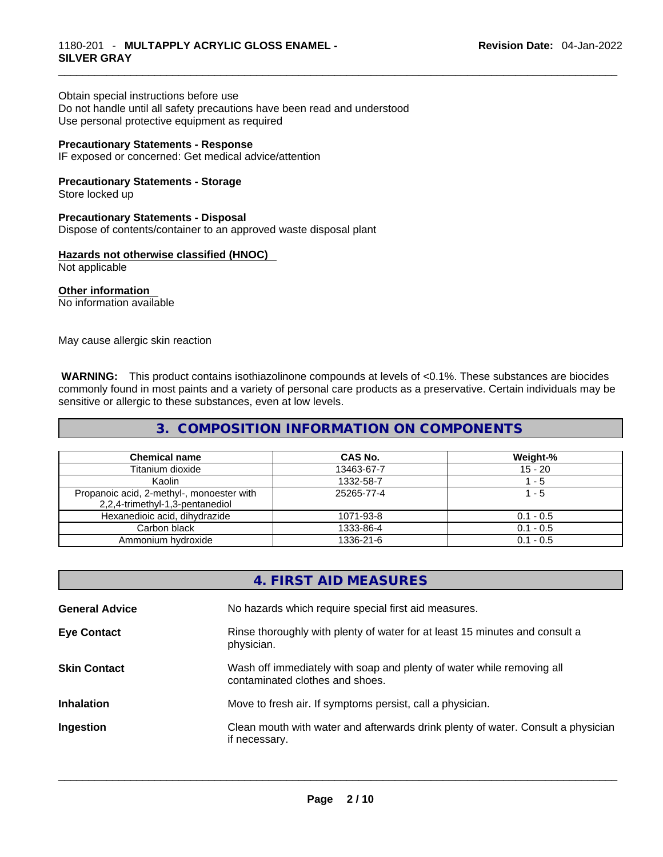Obtain special instructions before use Do not handle until all safety precautions have been read and understood Use personal protective equipment as required

#### **Precautionary Statements - Response**

IF exposed or concerned: Get medical advice/attention

**Precautionary Statements - Storage** Store locked up

#### **Precautionary Statements - Disposal**

Dispose of contents/container to an approved waste disposal plant

#### **Hazards not otherwise classified (HNOC)**

Not applicable

**Other information**  No information available

May cause allergic skin reaction

 **WARNING:** This product contains isothiazolinone compounds at levels of <0.1%. These substances are biocides commonly found in most paints and a variety of personal care products as a preservative. Certain individuals may be sensitive or allergic to these substances, even at low levels.

#### **3. COMPOSITION INFORMATION ON COMPONENTS**

| <b>Chemical name</b>                                                         | <b>CAS No.</b> | Weight-%    |
|------------------------------------------------------------------------------|----------------|-------------|
| Titanium dioxide                                                             | 13463-67-7     | $15 - 20$   |
| Kaolin                                                                       | 1332-58-7      | 1 - 5       |
| Propanoic acid, 2-methyl-, monoester with<br>2,2,4-trimethyl-1,3-pentanediol | 25265-77-4     | 1 - 5       |
| Hexanedioic acid, dihydrazide                                                | 1071-93-8      | $0.1 - 0.5$ |
| Carbon black                                                                 | 1333-86-4      | $0.1 - 0.5$ |
| Ammonium hydroxide                                                           | 1336-21-6      | $0.1 - 0.5$ |

#### **4. FIRST AID MEASURES**

| <b>General Advice</b> | No hazards which require special first aid measures.                                                     |
|-----------------------|----------------------------------------------------------------------------------------------------------|
| <b>Eye Contact</b>    | Rinse thoroughly with plenty of water for at least 15 minutes and consult a<br>physician.                |
| <b>Skin Contact</b>   | Wash off immediately with soap and plenty of water while removing all<br>contaminated clothes and shoes. |
| <b>Inhalation</b>     | Move to fresh air. If symptoms persist, call a physician.                                                |
| Ingestion             | Clean mouth with water and afterwards drink plenty of water. Consult a physician<br>if necessary.        |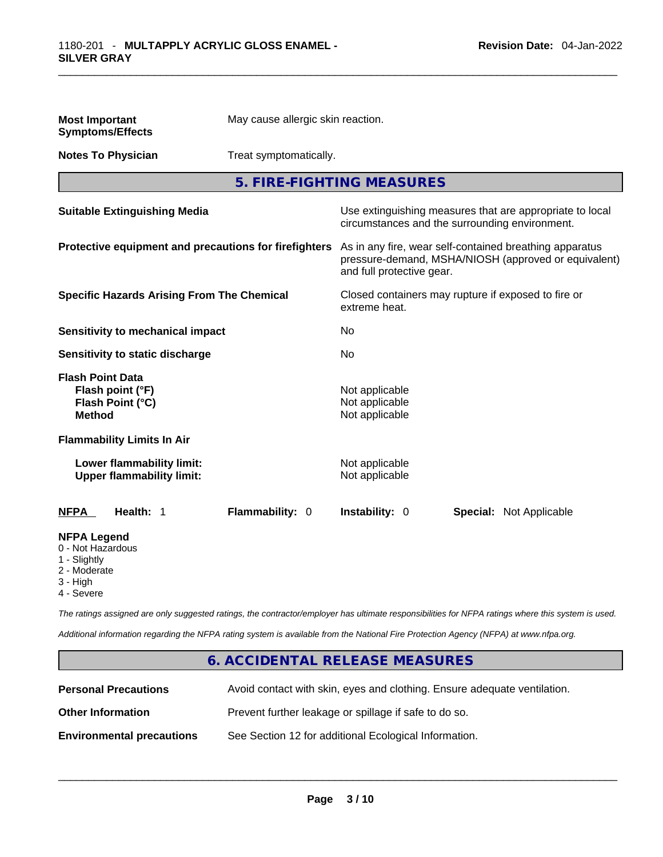| <b>Most Important</b><br><b>Symptoms/Effects</b>                                    | May cause allergic skin reaction. |                                                                                      |  |                                                          |
|-------------------------------------------------------------------------------------|-----------------------------------|--------------------------------------------------------------------------------------|--|----------------------------------------------------------|
| <b>Notes To Physician</b>                                                           | Treat symptomatically.            |                                                                                      |  |                                                          |
|                                                                                     |                                   | 5. FIRE-FIGHTING MEASURES                                                            |  |                                                          |
| <b>Suitable Extinguishing Media</b>                                                 |                                   | circumstances and the surrounding environment.                                       |  | Use extinguishing measures that are appropriate to local |
| Protective equipment and precautions for firefighters                               |                                   | As in any fire, wear self-contained breathing apparatus<br>and full protective gear. |  | pressure-demand, MSHA/NIOSH (approved or equivalent)     |
| <b>Specific Hazards Arising From The Chemical</b>                                   |                                   | Closed containers may rupture if exposed to fire or<br>extreme heat.                 |  |                                                          |
| Sensitivity to mechanical impact                                                    |                                   | No                                                                                   |  |                                                          |
| Sensitivity to static discharge                                                     |                                   | No                                                                                   |  |                                                          |
| <b>Flash Point Data</b><br>Flash point (°F)<br>Flash Point (°C)<br><b>Method</b>    |                                   | Not applicable<br>Not applicable<br>Not applicable                                   |  |                                                          |
| <b>Flammability Limits In Air</b>                                                   |                                   |                                                                                      |  |                                                          |
| Lower flammability limit:<br><b>Upper flammability limit:</b>                       |                                   | Not applicable<br>Not applicable                                                     |  |                                                          |
| Health: 1<br><b>NFPA</b>                                                            | Flammability: 0                   | Instability: 0                                                                       |  | <b>Special: Not Applicable</b>                           |
| <b>NFPA Legend</b><br>0 - Not Hazardous<br>1 - Slightly<br>2 - Moderate<br>3 - High |                                   |                                                                                      |  |                                                          |

4 - Severe

*The ratings assigned are only suggested ratings, the contractor/employer has ultimate responsibilities for NFPA ratings where this system is used.* 

*Additional information regarding the NFPA rating system is available from the National Fire Protection Agency (NFPA) at www.nfpa.org.* 

#### **6. ACCIDENTAL RELEASE MEASURES**

| <b>Personal Precautions</b>      | Avoid contact with skin, eyes and clothing. Ensure adequate ventilation. |
|----------------------------------|--------------------------------------------------------------------------|
| <b>Other Information</b>         | Prevent further leakage or spillage if safe to do so.                    |
| <b>Environmental precautions</b> | See Section 12 for additional Ecological Information.                    |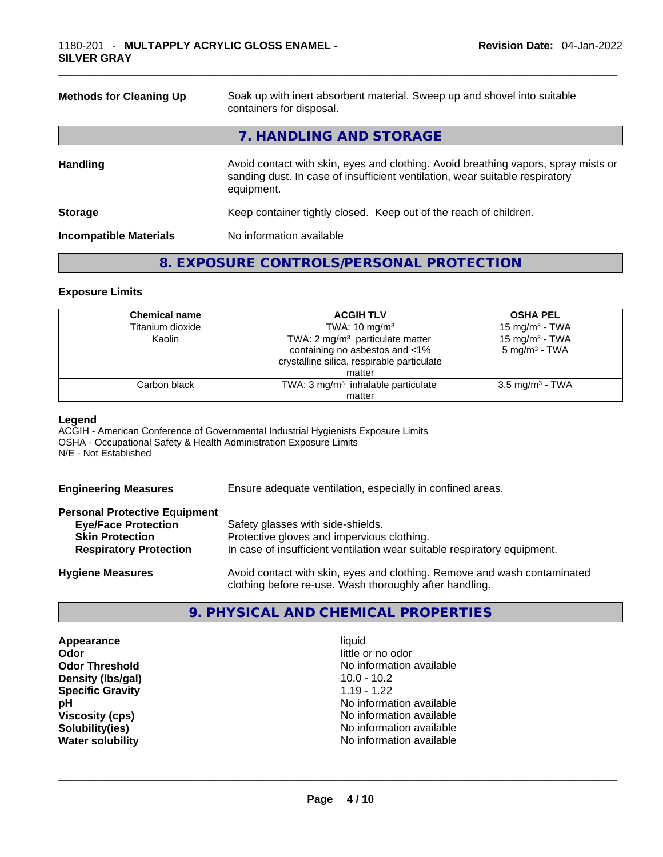| <b>Methods for Cleaning Up</b> | Soak up with inert absorbent material. Sweep up and shovel into suitable<br>containers for disposal.                                                                             |
|--------------------------------|----------------------------------------------------------------------------------------------------------------------------------------------------------------------------------|
|                                | 7. HANDLING AND STORAGE                                                                                                                                                          |
| <b>Handling</b>                | Avoid contact with skin, eyes and clothing. Avoid breathing vapors, spray mists or<br>sanding dust. In case of insufficient ventilation, wear suitable respiratory<br>equipment. |
| <b>Storage</b>                 | Keep container tightly closed. Keep out of the reach of children.                                                                                                                |
| <b>Incompatible Materials</b>  | No information available                                                                                                                                                         |
|                                |                                                                                                                                                                                  |

#### **8. EXPOSURE CONTROLS/PERSONAL PROTECTION**

#### **Exposure Limits**

| <b>Chemical name</b> | <b>ACGIH TLV</b>                                                                                                                     | <b>OSHA PEL</b>                               |
|----------------------|--------------------------------------------------------------------------------------------------------------------------------------|-----------------------------------------------|
| Titanium dioxide     | TWA: $10 \text{ mg/m}^3$                                                                                                             | 15 mg/m $3$ - TWA                             |
| Kaolin               | TWA: $2 \text{ mg/m}^3$ particulate matter<br>containing no asbestos and <1%<br>crystalline silica, respirable particulate<br>matter | 15 mg/m $3$ - TWA<br>$5 \text{ mg/m}^3$ - TWA |
| Carbon black         | TWA: $3 \text{ mg/m}^3$ inhalable particulate                                                                                        | 3.5 mg/m <sup>3</sup> - TWA                   |
|                      | matter                                                                                                                               |                                               |

#### **Legend**

ACGIH - American Conference of Governmental Industrial Hygienists Exposure Limits OSHA - Occupational Safety & Health Administration Exposure Limits N/E - Not Established

**Engineering Measures** Ensure adequate ventilation, especially in confined areas.

#### **Personal Protective Equipment**

| <b>Eye/Face Protection</b>    | Safety glasses with side-shields.                                                                                                   |
|-------------------------------|-------------------------------------------------------------------------------------------------------------------------------------|
| <b>Skin Protection</b>        | Protective gloves and impervious clothing.                                                                                          |
| <b>Respiratory Protection</b> | In case of insufficient ventilation wear suitable respiratory equipment.                                                            |
| <b>Hygiene Measures</b>       | Avoid contact with skin, eyes and clothing. Remove and wash contaminated<br>clothing before re-use. Wash thoroughly after handling. |

#### **9. PHYSICAL AND CHEMICAL PROPERTIES**

**Appearance** liquid **Odor** little or no odor **Density (Ibs/gal)** 10.0 - 10.2<br> **Specific Gravity** 1.19 - 1.22 **Specific Gravity** 

**Odor Threshold**<br> **Density (Ibs/gal)** (Ibs/gal) (Ibs/gal) (Ibs/gal) (Ibs/gal) (Ibs/gal) (Ibs/gal) (Ibs/gal) (Ibs/gal) (Ibs/gal) (Ib **pH pH No** information available **Viscosity (cps) Viscosity (cps) No information available Solubility(ies)** No information available **Water solubility** No information available \_\_\_\_\_\_\_\_\_\_\_\_\_\_\_\_\_\_\_\_\_\_\_\_\_\_\_\_\_\_\_\_\_\_\_\_\_\_\_\_\_\_\_\_\_\_\_\_\_\_\_\_\_\_\_\_\_\_\_\_\_\_\_\_\_\_\_\_\_\_\_\_\_\_\_\_\_\_\_\_\_\_\_\_\_\_\_\_\_\_\_\_\_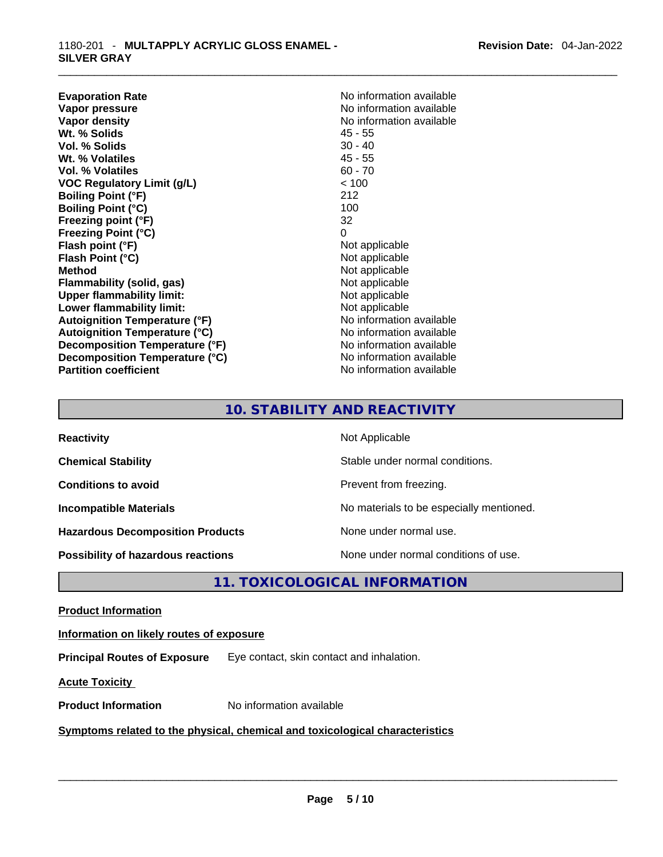**Evaporation Rate No information available No information available Vapor pressure**<br> **Vapor density**<br> **Vapor density**<br> **Vapor density**<br> **Vapor density** Wt. % Solids **Vol. % Solids** 30 - 40 **Wt. % Volatiles** 45 - 55 **Vol. % Volatiles** 60 - 70 **VOC Regulatory Limit (g/L)** < 100 **Boiling Point (°F)** 212 **Boiling Point (°C)** 100 **Freezing point (°F)** 32 **Freezing Point (°C)** 0 **Flash point (°F)** Not applicable **Flash Point (°C)** Not applicable **Method** Not applicable **Flammability (solid, gas)** Not applicable **Upper flammability limit:**<br> **Lower flammability limit:**<br>
Not applicable<br>
Not applicable **Lower flammability limit: Autoignition Temperature (°F)** No information available **Autoignition Temperature (°C)** No information available **Decomposition Temperature (°F)** No information available **Decomposition Temperature (°C)** No information available **Partition coefficient CONSTRANSISTS No information available** 

**No information available**<br>45 - 55

#### **10. STABILITY AND REACTIVITY**

| <b>Reactivity</b>                       | Not Applicable                           |
|-----------------------------------------|------------------------------------------|
| <b>Chemical Stability</b>               | Stable under normal conditions.          |
| <b>Conditions to avoid</b>              | Prevent from freezing.                   |
| <b>Incompatible Materials</b>           | No materials to be especially mentioned. |
| <b>Hazardous Decomposition Products</b> | None under normal use.                   |
| Possibility of hazardous reactions      | None under normal conditions of use.     |

**11. TOXICOLOGICAL INFORMATION** 

**Product Information**

**Information on likely routes of exposure**

**Principal Routes of Exposure** Eye contact, skin contact and inhalation.

**Acute Toxicity** 

**Product Information** No information available \_\_\_\_\_\_\_\_\_\_\_\_\_\_\_\_\_\_\_\_\_\_\_\_\_\_\_\_\_\_\_\_\_\_\_\_\_\_\_\_\_\_\_\_\_\_\_\_\_\_\_\_\_\_\_\_\_\_\_\_\_\_\_\_\_\_\_\_\_\_\_\_\_\_\_\_\_\_\_\_\_\_\_\_\_\_\_\_\_\_\_\_\_ **<u>Symptoms related to the physical, chemical and toxicological characteristics</u>**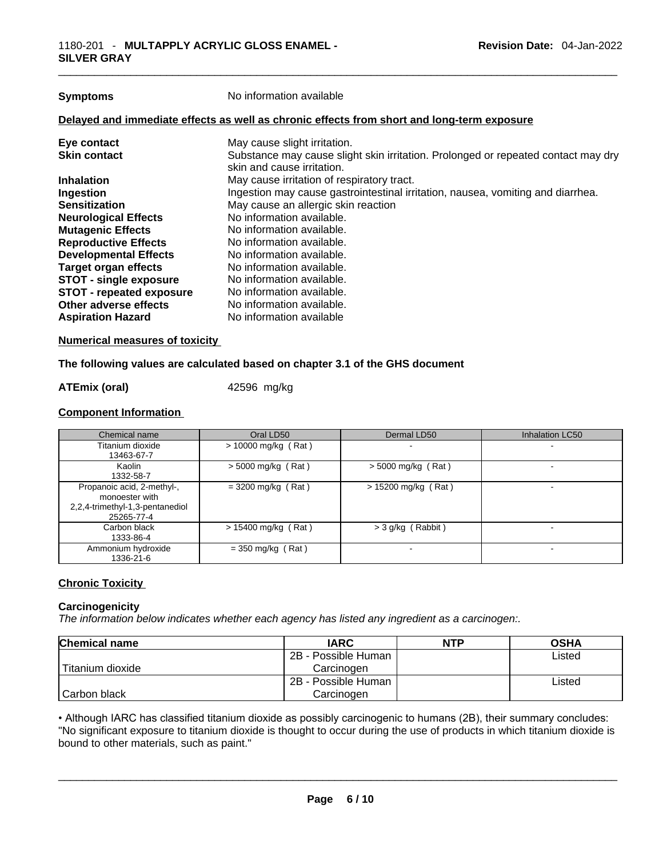| <b>Symptoms</b>                 | No information available                                                                                        |
|---------------------------------|-----------------------------------------------------------------------------------------------------------------|
|                                 | Delayed and immediate effects as well as chronic effects from short and long-term exposure                      |
| Eye contact                     | May cause slight irritation.                                                                                    |
| <b>Skin contact</b>             | Substance may cause slight skin irritation. Prolonged or repeated contact may dry<br>skin and cause irritation. |
| <b>Inhalation</b>               | May cause irritation of respiratory tract.                                                                      |
| Ingestion                       | Ingestion may cause gastrointestinal irritation, nausea, vomiting and diarrhea.                                 |
| <b>Sensitization</b>            | May cause an allergic skin reaction                                                                             |
| <b>Neurological Effects</b>     | No information available.                                                                                       |
| <b>Mutagenic Effects</b>        | No information available.                                                                                       |
| <b>Reproductive Effects</b>     | No information available.                                                                                       |
| <b>Developmental Effects</b>    | No information available.                                                                                       |
| <b>Target organ effects</b>     | No information available.                                                                                       |
| <b>STOT - single exposure</b>   | No information available.                                                                                       |
| <b>STOT - repeated exposure</b> | No information available.                                                                                       |
| Other adverse effects           | No information available.                                                                                       |
| <b>Aspiration Hazard</b>        | No information available                                                                                        |

#### **Numerical measures of toxicity**

#### **The following values are calculated based on chapter 3.1 of the GHS document**

#### **ATEmix (oral)** 42596 mg/kg

#### **Component Information**

| Chemical name                                                                                 | Oral LD50             | Dermal LD50           | Inhalation LC50 |
|-----------------------------------------------------------------------------------------------|-----------------------|-----------------------|-----------------|
| Titanium dioxide<br>13463-67-7                                                                | $> 10000$ mg/kg (Rat) |                       |                 |
| Kaolin<br>1332-58-7                                                                           | $>$ 5000 mg/kg (Rat)  | $>$ 5000 mg/kg (Rat)  |                 |
| Propanoic acid, 2-methyl-,<br>monoester with<br>2,2,4-trimethyl-1,3-pentanediol<br>25265-77-4 | $=$ 3200 mg/kg (Rat)  | $> 15200$ mg/kg (Rat) |                 |
| Carbon black<br>1333-86-4                                                                     | $> 15400$ mg/kg (Rat) | $>$ 3 g/kg (Rabbit)   |                 |
| Ammonium hydroxide<br>1336-21-6                                                               | $=$ 350 mg/kg (Rat)   |                       |                 |

#### **Chronic Toxicity**

#### **Carcinogenicity**

*The information below indicates whether each agency has listed any ingredient as a carcinogen:.* 

| <b>Chemical name</b> | <b>IARC</b>         | <b>NTP</b> | <b>OSHA</b> |
|----------------------|---------------------|------------|-------------|
|                      | 2B - Possible Human |            | Listed      |
| l Titanium dioxide   | Carcinogen          |            |             |
|                      | 2B - Possible Human |            | Listed      |
| l Carbon black       | Carcinogen          |            |             |

• Although IARC has classified titanium dioxide as possibly carcinogenic to humans (2B), their summary concludes: "No significant exposure to titanium dioxide is thought to occur during the use of products in which titanium dioxide is bound to other materials, such as paint."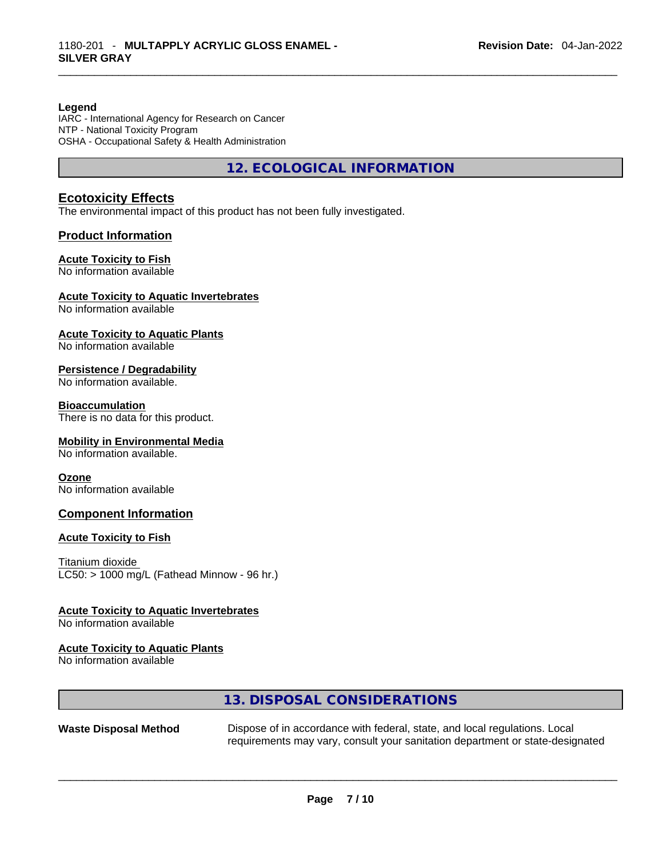#### **Legend**

IARC - International Agency for Research on Cancer NTP - National Toxicity Program OSHA - Occupational Safety & Health Administration

**12. ECOLOGICAL INFORMATION** 

#### **Ecotoxicity Effects**

The environmental impact of this product has not been fully investigated.

#### **Product Information**

#### **Acute Toxicity to Fish**

No information available

#### **Acute Toxicity to Aquatic Invertebrates**

No information available

#### **Acute Toxicity to Aquatic Plants**

No information available

#### **Persistence / Degradability**

No information available.

#### **Bioaccumulation**

There is no data for this product.

#### **Mobility in Environmental Media**

No information available.

#### **Ozone**

No information available

#### **Component Information**

#### **Acute Toxicity to Fish**

Titanium dioxide  $LC50:$  > 1000 mg/L (Fathead Minnow - 96 hr.)

#### **Acute Toxicity to Aquatic Invertebrates**

No information available

#### **Acute Toxicity to Aquatic Plants**

No information available

#### **13. DISPOSAL CONSIDERATIONS**

**Waste Disposal Method** Dispose of in accordance with federal, state, and local regulations. Local requirements may vary, consult your sanitation department or state-designated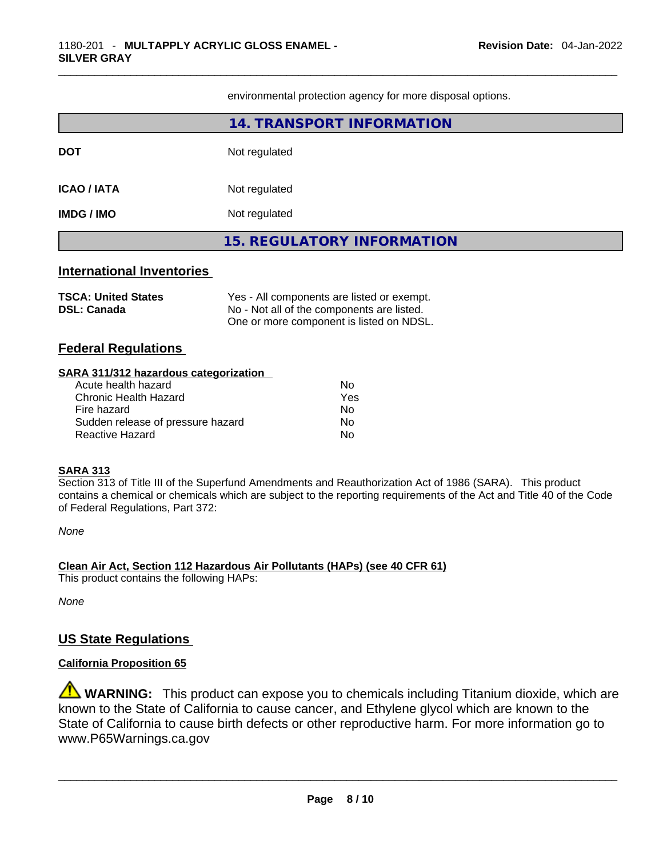environmental protection agency for more disposal options.

| <b>International Inventories</b> |                                   |
|----------------------------------|-----------------------------------|
|                                  | <b>15. REGULATORY INFORMATION</b> |
| IMDG / IMO                       | Not regulated                     |
| ICAO / IATA                      | Not regulated                     |
| <b>DOT</b>                       | Not regulated                     |
|                                  | 14. TRANSPORT INFORMATION         |

| <b>TSCA: United States</b> | Yes - All components are listed or exempt. |
|----------------------------|--------------------------------------------|
| <b>DSL: Canada</b>         | No - Not all of the components are listed. |
|                            | One or more component is listed on NDSL.   |

#### **Federal Regulations**

#### **SARA 311/312 hazardous categorization**

| Acute health hazard               | Nο  |
|-----------------------------------|-----|
| Chronic Health Hazard             | Yes |
| Fire hazard                       | Nο  |
| Sudden release of pressure hazard | Nο  |
| Reactive Hazard                   | Nο  |

#### **SARA 313**

Section 313 of Title III of the Superfund Amendments and Reauthorization Act of 1986 (SARA). This product contains a chemical or chemicals which are subject to the reporting requirements of the Act and Title 40 of the Code of Federal Regulations, Part 372:

*None*

**Clean Air Act,Section 112 Hazardous Air Pollutants (HAPs) (see 40 CFR 61)** This product contains the following HAPs:

*None*

#### **US State Regulations**

#### **California Proposition 65**

**WARNING:** This product can expose you to chemicals including Titanium dioxide, which are known to the State of California to cause cancer, and Ethylene glycol which are known to the State of California to cause birth defects or other reproductive harm. For more information go to www.P65Warnings.ca.gov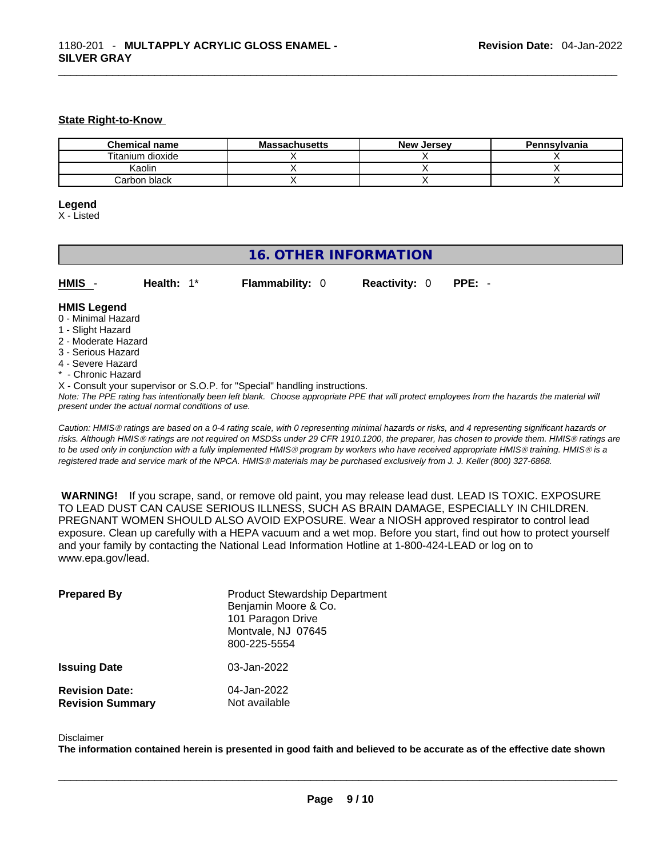#### **State Right-to-Know**

| <b>Chemical name</b> | <b>Massachusetts</b> | <b>New Jersey</b> | Pennsylvania |
|----------------------|----------------------|-------------------|--------------|
| Titanium dioxide     |                      |                   |              |
| Kaolin               |                      |                   |              |
| Carbon black         |                      |                   |              |

#### **Legend**

X - Listed

#### **16. OTHER INFORMATION**

| HMIS - | Health: $1^*$ | <b>Flammability: 0</b> | <b>Reactivity: 0 PPE: -</b> |  |
|--------|---------------|------------------------|-----------------------------|--|

#### **HMIS Legend**

- 0 Minimal Hazard
- 1 Slight Hazard
- 2 Moderate Hazard
- 3 Serious Hazard
- 4 Severe Hazard
- \* Chronic Hazard

X - Consult your supervisor or S.O.P. for "Special" handling instructions.

Note: The PPE rating has intentionally been left blank. Choose appropriate PPE that will protect employees from the hazards the material will *present under the actual normal conditions of use.* 

*Caution: HMISÒ ratings are based on a 0-4 rating scale, with 0 representing minimal hazards or risks, and 4 representing significant hazards or risks. Although HMISÒ ratings are not required on MSDSs under 29 CFR 1910.1200, the preparer, has chosen to provide them. HMISÒ ratings are to be used only in conjunction with a fully implemented HMISÒ program by workers who have received appropriate HMISÒ training. HMISÒ is a registered trade and service mark of the NPCA. HMISÒ materials may be purchased exclusively from J. J. Keller (800) 327-6868.* 

 **WARNING!** If you scrape, sand, or remove old paint, you may release lead dust. LEAD IS TOXIC. EXPOSURE TO LEAD DUST CAN CAUSE SERIOUS ILLNESS, SUCH AS BRAIN DAMAGE, ESPECIALLY IN CHILDREN. PREGNANT WOMEN SHOULD ALSO AVOID EXPOSURE.Wear a NIOSH approved respirator to control lead exposure. Clean up carefully with a HEPA vacuum and a wet mop. Before you start, find out how to protect yourself and your family by contacting the National Lead Information Hotline at 1-800-424-LEAD or log on to www.epa.gov/lead.

| <b>Prepared By</b>                               | <b>Product Stewardship Department</b><br>Benjamin Moore & Co.<br>101 Paragon Drive<br>Montvale, NJ 07645<br>800-225-5554 |
|--------------------------------------------------|--------------------------------------------------------------------------------------------------------------------------|
| <b>Issuing Date</b>                              | 03-Jan-2022                                                                                                              |
| <b>Revision Date:</b><br><b>Revision Summary</b> | 04-Jan-2022<br>Not available                                                                                             |

#### Disclaimer

The information contained herein is presented in good faith and believed to be accurate as of the effective date shown